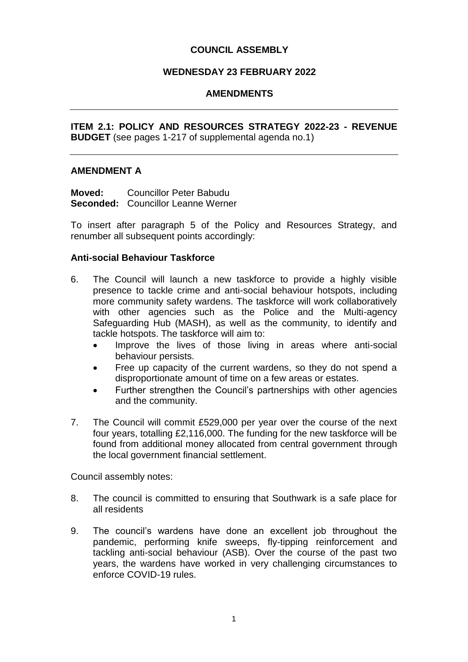## **COUNCIL ASSEMBLY**

## **WEDNESDAY 23 FEBRUARY 2022**

## **AMENDMENTS**

**ITEM 2.1: POLICY AND RESOURCES STRATEGY 2022-23 - REVENUE BUDGET** (see pages 1-217 of supplemental agenda no.1)

#### **AMENDMENT A**

**Moved:** Councillor Peter Babudu Seconded: Councillor Leanne Werner

To insert after paragraph 5 of the Policy and Resources Strategy, and renumber all subsequent points accordingly:

#### **Anti-social Behaviour Taskforce**

- 6. The Council will launch a new taskforce to provide a highly visible presence to tackle crime and anti-social behaviour hotspots, including more community safety wardens. The taskforce will work collaboratively with other agencies such as the Police and the Multi-agency Safeguarding Hub (MASH), as well as the community, to identify and tackle hotspots. The taskforce will aim to:
	- Improve the lives of those living in areas where anti-social behaviour persists.
	- Free up capacity of the current wardens, so they do not spend a disproportionate amount of time on a few areas or estates.
	- Further strengthen the Council's partnerships with other agencies and the community.
- 7. The Council will commit £529,000 per year over the course of the next four years, totalling £2,116,000. The funding for the new taskforce will be found from additional money allocated from central government through the local government financial settlement.

Council assembly notes:

- 8. The council is committed to ensuring that Southwark is a safe place for all residents
- 9. The council's wardens have done an excellent job throughout the pandemic, performing knife sweeps, fly-tipping reinforcement and tackling anti-social behaviour (ASB). Over the course of the past two years, the wardens have worked in very challenging circumstances to enforce COVID-19 rules.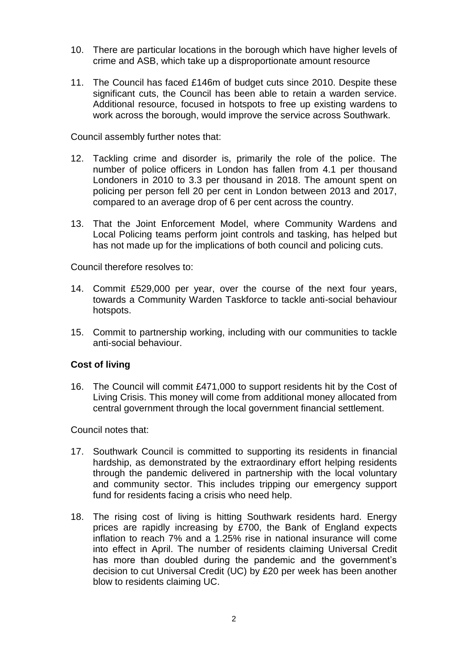- 10. There are particular locations in the borough which have higher levels of crime and ASB, which take up a disproportionate amount resource
- 11. The Council has faced £146m of budget cuts since 2010. Despite these significant cuts, the Council has been able to retain a warden service. Additional resource, focused in hotspots to free up existing wardens to work across the borough, would improve the service across Southwark.

Council assembly further notes that:

- 12. Tackling crime and disorder is, primarily the role of the police. The number of police officers in London has fallen from 4.1 per thousand Londoners in 2010 to 3.3 per thousand in 2018. The amount spent on policing per person fell 20 per cent in London between 2013 and 2017, compared to an average drop of 6 per cent across the country.
- 13. That the Joint Enforcement Model, where Community Wardens and Local Policing teams perform joint controls and tasking, has helped but has not made up for the implications of both council and policing cuts.

Council therefore resolves to:

- 14. Commit £529,000 per year, over the course of the next four years, towards a Community Warden Taskforce to tackle anti-social behaviour hotspots.
- 15. Commit to partnership working, including with our communities to tackle anti-social behaviour.

## **Cost of living**

16. The Council will commit £471,000 to support residents hit by the Cost of Living Crisis. This money will come from additional money allocated from central government through the local government financial settlement.

Council notes that:

- 17. Southwark Council is committed to supporting its residents in financial hardship, as demonstrated by the extraordinary effort helping residents through the pandemic delivered in partnership with the local voluntary and community sector. This includes tripping our emergency support fund for residents facing a crisis who need help.
- 18. The rising cost of living is hitting Southwark residents hard. Energy prices are rapidly increasing by £700, the Bank of England expects inflation to reach 7% and a 1.25% rise in national insurance will come into effect in April. The number of residents claiming Universal Credit has more than doubled during the pandemic and the government's decision to cut Universal Credit (UC) by £20 per week has been another blow to residents claiming UC.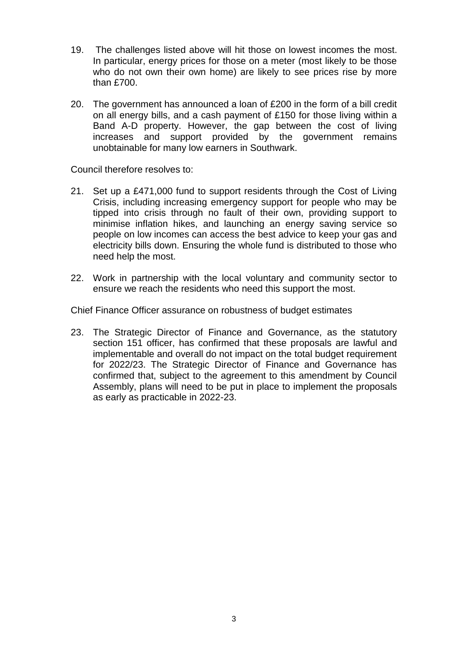- 19. The challenges listed above will hit those on lowest incomes the most. In particular, energy prices for those on a meter (most likely to be those who do not own their own home) are likely to see prices rise by more than £700.
- 20. The government has announced a loan of £200 in the form of a bill credit on all energy bills, and a cash payment of £150 for those living within a Band A-D property. However, the gap between the cost of living increases and support provided by the government remains unobtainable for many low earners in Southwark.

Council therefore resolves to:

- 21. Set up a £471,000 fund to support residents through the Cost of Living Crisis, including increasing emergency support for people who may be tipped into crisis through no fault of their own, providing support to minimise inflation hikes, and launching an energy saving service so people on low incomes can access the best advice to keep your gas and electricity bills down. Ensuring the whole fund is distributed to those who need help the most.
- 22. Work in partnership with the local voluntary and community sector to ensure we reach the residents who need this support the most.

Chief Finance Officer assurance on robustness of budget estimates

23. The Strategic Director of Finance and Governance, as the statutory section 151 officer, has confirmed that these proposals are lawful and implementable and overall do not impact on the total budget requirement for 2022/23. The Strategic Director of Finance and Governance has confirmed that, subject to the agreement to this amendment by Council Assembly, plans will need to be put in place to implement the proposals as early as practicable in 2022-23.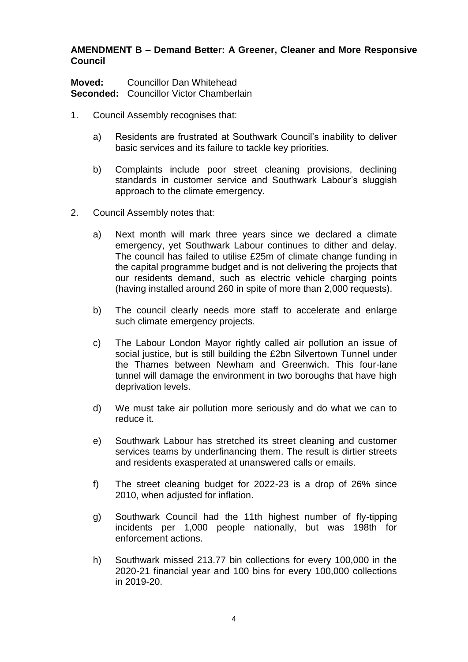## **AMENDMENT B – Demand Better: A Greener, Cleaner and More Responsive Council**

**Moved:** Councillor Dan Whitehead **Seconded:** Councillor Victor Chamberlain

- 1. Council Assembly recognises that:
	- a) Residents are frustrated at Southwark Council's inability to deliver basic services and its failure to tackle key priorities.
	- b) Complaints include poor street cleaning provisions, declining standards in customer service and Southwark Labour's sluggish approach to the climate emergency.
- 2. Council Assembly notes that:
	- a) Next month will mark three years since we declared a climate emergency, yet Southwark Labour continues to dither and delay. The council has failed to utilise £25m of climate change funding in the capital programme budget and is not delivering the projects that our residents demand, such as electric vehicle charging points (having installed around 260 in spite of more than 2,000 requests).
	- b) The council clearly needs more staff to accelerate and enlarge such climate emergency projects.
	- c) The Labour London Mayor rightly called air pollution an issue of social justice, but is still building the £2bn Silvertown Tunnel under the Thames between Newham and Greenwich. This four-lane tunnel will damage the environment in two boroughs that have high deprivation levels.
	- d) We must take air pollution more seriously and do what we can to reduce it.
	- e) Southwark Labour has stretched its street cleaning and customer services teams by underfinancing them. The result is dirtier streets and residents exasperated at unanswered calls or emails.
	- f) The street cleaning budget for 2022-23 is a drop of 26% since 2010, when adjusted for inflation.
	- g) Southwark Council had the 11th highest number of fly-tipping incidents per 1,000 people nationally, but was 198th for enforcement actions.
	- h) Southwark missed 213.77 bin collections for every 100,000 in the 2020-21 financial year and 100 bins for every 100,000 collections in 2019-20.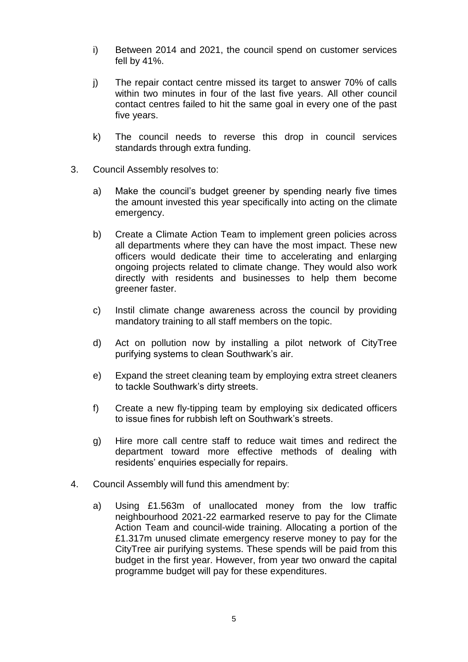- i) Between 2014 and 2021, the council spend on customer services fell by 41%.
- j) The repair contact centre missed its target to answer 70% of calls within two minutes in four of the last five years. All other council contact centres failed to hit the same goal in every one of the past five years.
- k) The council needs to reverse this drop in council services standards through extra funding.
- 3. Council Assembly resolves to:
	- a) Make the council's budget greener by spending nearly five times the amount invested this year specifically into acting on the climate emergency.
	- b) Create a Climate Action Team to implement green policies across all departments where they can have the most impact. These new officers would dedicate their time to accelerating and enlarging ongoing projects related to climate change. They would also work directly with residents and businesses to help them become greener faster.
	- c) Instil climate change awareness across the council by providing mandatory training to all staff members on the topic.
	- d) Act on pollution now by installing a pilot network of CityTree purifying systems to clean Southwark's air.
	- e) Expand the street cleaning team by employing extra street cleaners to tackle Southwark's dirty streets.
	- f) Create a new fly-tipping team by employing six dedicated officers to issue fines for rubbish left on Southwark's streets.
	- g) Hire more call centre staff to reduce wait times and redirect the department toward more effective methods of dealing with residents' enquiries especially for repairs.
- 4. Council Assembly will fund this amendment by:
	- a) Using £1.563m of unallocated money from the low traffic neighbourhood 2021-22 earmarked reserve to pay for the Climate Action Team and council-wide training. Allocating a portion of the £1.317m unused climate emergency reserve money to pay for the CityTree air purifying systems. These spends will be paid from this budget in the first year. However, from year two onward the capital programme budget will pay for these expenditures.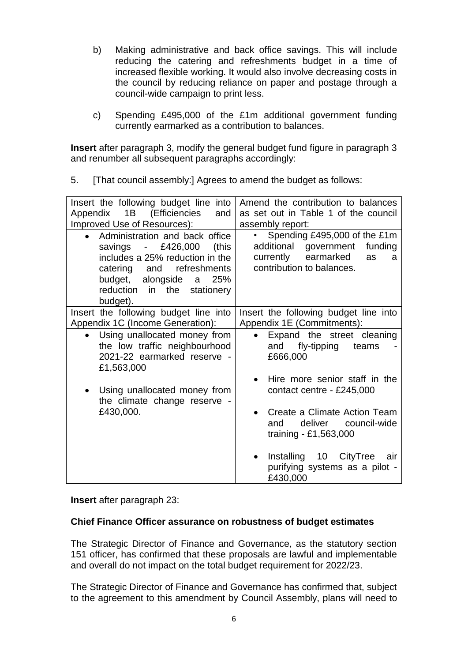- b) Making administrative and back office savings. This will include reducing the catering and refreshments budget in a time of increased flexible working. It would also involve decreasing costs in the council by reducing reliance on paper and postage through a council-wide campaign to print less.
- c) Spending £495,000 of the £1m additional government funding currently earmarked as a contribution to balances.

**Insert** after paragraph 3, modify the general budget fund figure in paragraph 3 and renumber all subsequent paragraphs accordingly:

5. [That council assembly:] Agrees to amend the budget as follows:

| Insert the following budget line into<br>1B (Efficiencies<br>Appendix<br>and<br>Improved Use of Resources):<br>Administration and back office<br>savings - £426,000<br>(this<br>includes a 25% reduction in the<br>catering and refreshments<br>budget, alongside a<br>25%<br>reduction in the stationery | Amend the contribution to balances<br>as set out in Table 1 of the council<br>assembly report:<br>Spending £495,000 of the £1m<br>additional government<br>funding<br>currently earmarked<br>as<br>a<br>contribution to balances. |
|-----------------------------------------------------------------------------------------------------------------------------------------------------------------------------------------------------------------------------------------------------------------------------------------------------------|-----------------------------------------------------------------------------------------------------------------------------------------------------------------------------------------------------------------------------------|
| budget).<br>Insert the following budget line into<br>Appendix 1C (Income Generation):                                                                                                                                                                                                                     | Insert the following budget line into<br>Appendix 1E (Commitments):                                                                                                                                                               |
| Using unallocated money from<br>the low traffic neighbourhood<br>2021-22 earmarked reserve -<br>£1,563,000<br>Using unallocated money from<br>the climate change reserve -<br>£430,000.                                                                                                                   | Expand the street cleaning<br>fly-tipping<br>and<br>teams<br>£666,000<br>Hire more senior staff in the<br>contact centre - £245,000                                                                                               |
|                                                                                                                                                                                                                                                                                                           | Create a Climate Action Team<br>deliver council-wide<br>and<br>training - £1,563,000                                                                                                                                              |
|                                                                                                                                                                                                                                                                                                           | Installing 10 CityTree<br>air<br>purifying systems as a pilot -<br>£430,000                                                                                                                                                       |

**Insert** after paragraph 23:

## **Chief Finance Officer assurance on robustness of budget estimates**

The Strategic Director of Finance and Governance, as the statutory section 151 officer, has confirmed that these proposals are lawful and implementable and overall do not impact on the total budget requirement for 2022/23.

The Strategic Director of Finance and Governance has confirmed that, subject to the agreement to this amendment by Council Assembly, plans will need to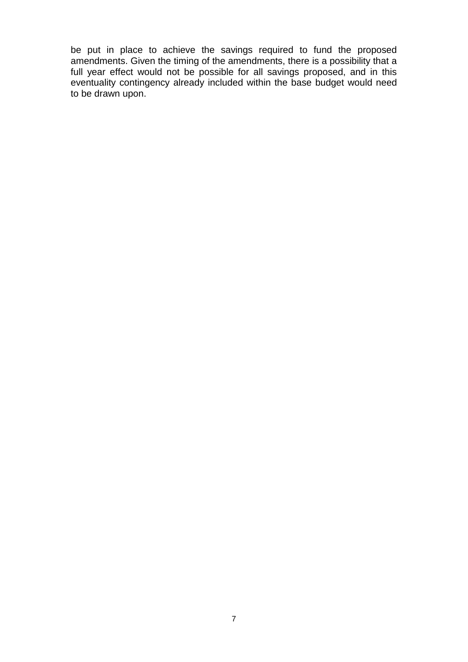be put in place to achieve the savings required to fund the proposed amendments. Given the timing of the amendments, there is a possibility that a full year effect would not be possible for all savings proposed, and in this eventuality contingency already included within the base budget would need to be drawn upon.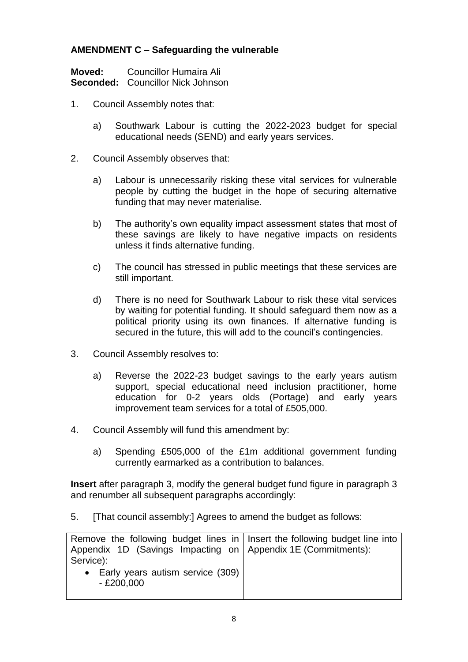# **AMENDMENT C – Safeguarding the vulnerable**

| Moved: | Councillor Humaira Ali                   |
|--------|------------------------------------------|
|        | <b>Seconded:</b> Councillor Nick Johnson |

- 1. Council Assembly notes that:
	- a) Southwark Labour is cutting the 2022-2023 budget for special educational needs (SEND) and early years services.
- 2. Council Assembly observes that:
	- a) Labour is unnecessarily risking these vital services for vulnerable people by cutting the budget in the hope of securing alternative funding that may never materialise.
	- b) The authority's own equality impact assessment states that most of these savings are likely to have negative impacts on residents unless it finds alternative funding.
	- c) The council has stressed in public meetings that these services are still important.
	- d) There is no need for Southwark Labour to risk these vital services by waiting for potential funding. It should safeguard them now as a political priority using its own finances. If alternative funding is secured in the future, this will add to the council's contingencies.
- 3. Council Assembly resolves to:
	- a) Reverse the 2022-23 budget savings to the early years autism support, special educational need inclusion practitioner, home education for 0-2 years olds (Portage) and early years improvement team services for a total of £505,000.
- 4. Council Assembly will fund this amendment by:
	- a) Spending £505,000 of the £1m additional government funding currently earmarked as a contribution to balances.

**Insert** after paragraph 3, modify the general budget fund figure in paragraph 3 and renumber all subsequent paragraphs accordingly:

5. [That council assembly:] Agrees to amend the budget as follows:

| Remove the following budget lines in $\vert$ lnsert the following budget line into |  |
|------------------------------------------------------------------------------------|--|
| Appendix 1D (Savings Impacting on   Appendix 1E (Commitments):                     |  |
| Service):                                                                          |  |
| • Early years autism service (309)                                                 |  |
| $- E200,000$                                                                       |  |
|                                                                                    |  |